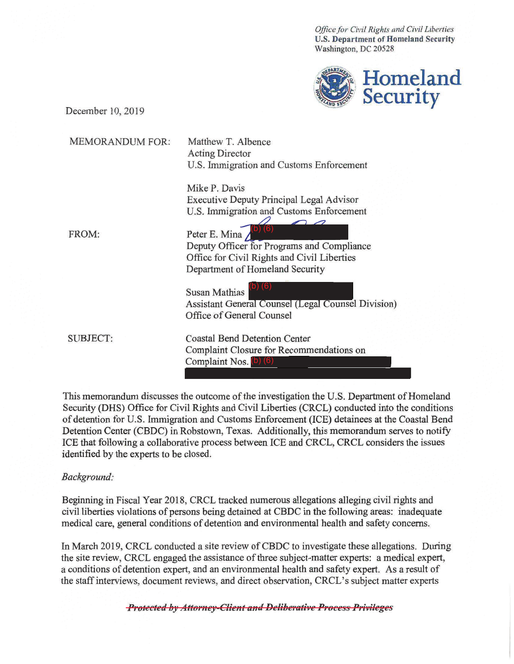*Office for Civil Rights and Civil liberties*  **U.S. Department of Homeland Security**  Washington, DC 20528



December 10, 2019

| <b>MEMORANDUM FOR:</b> | Matthew T. Albence<br><b>Acting Director</b><br>U.S. Immigration and Customs Enforcement                                                      |
|------------------------|-----------------------------------------------------------------------------------------------------------------------------------------------|
|                        | Mike P. Davis<br><b>Executive Deputy Principal Legal Advisor</b><br>U.S. Immigration and Customs Enforcement                                  |
| FROM:                  | Peter E. Mina<br>Deputy Officer for Programs and Compliance<br>Office for Civil Rights and Civil Liberties<br>Department of Homeland Security |
|                        | (6)<br><b>Susan Mathias</b><br><b>Assistant General Counsel (Legal Counsel Division)</b><br>Office of General Counsel                         |
| <b>SUBJECT:</b>        | <b>Coastal Bend Detention Center</b><br>Complaint Closure for Recommendations on<br>Complaint Nos. (b) (6)                                    |

This memorandum discusses the outcome of the investigation the U.S. Department of Homeland Security (DHS) Office for Civil Rights and Civil Liberties (CRCL) conducted into the conditions of detention for U.S. Immigration and Customs Enforcement (ICE) detainees at the Coastal Bend Detention Center (CBDC) in Robstown, Texas. Additionally, this memorandum serves to notify ICE that following a collaborative process between ICE and CRCL, CRCL considers the issues identified by the experts to be closed.

## *Background:*

Beginning in Fiscal Year 2018, CRCL tracked numerous allegations alleging civil rights and civil liberties violations of persons being detained at CBDC in the following areas: inadequate medical care, general conditions of detention and environmental health and safety concerns.

In March 2019, CRCL conducted a site review of CBDC to investigate these allegations. During the site review, CRCL engaged the assistance of three subject-matter experts: a medical expert, a conditions of detention expert, and an environmental health and safety expert. As a result of the staff interviews, document reviews, and direct observation, CRCL's subject matter experts

**Protected by Attorney-Client and Deliberative Process Privileges**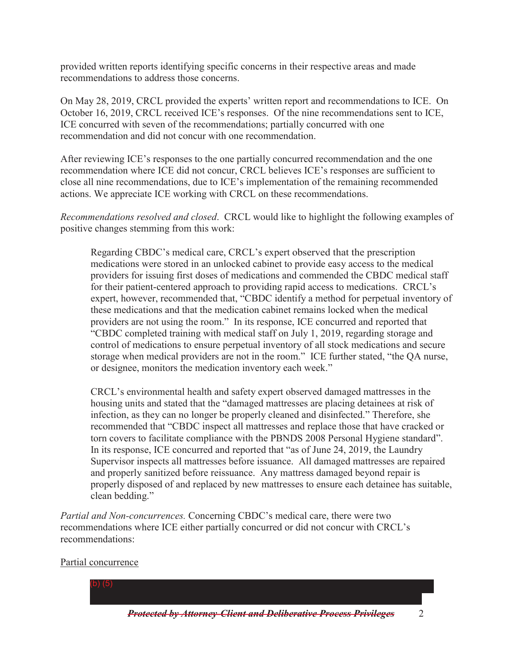provided written reports identifying specific concerns in their respective areas and made recommendations to address those concerns.

On May 28, 2019, CRCL provided the experts' written report and recommendations to ICE. On October 16, 2019, CRCL received ICE's responses. Of the nine recommendations sent to ICE, ICE concurred with seven of the recommendations; partially concurred with one recommendation and did not concur with one recommendation.

 close all nine recommendations, due to ICE's implementation of the remaining recommended After reviewing ICE's responses to the one partially concurred recommendation and the one recommendation where ICE did not concur, CRCL believes ICE's responses are sufficient to actions. We appreciate ICE working with CRCL on these recommendations.

*Recommendations resolved and closed*. CRCL would like to highlight the following examples of positive changes stemming from this work:

 providers are not using the room." In its response, ICE concurred and reported that "CBDC completed training with medical staff on July 1, 2019, regarding storage and or designee, monitors the medication inventory each week." Regarding CBDC's medical care, CRCL's expert observed that the prescription medications were stored in an unlocked cabinet to provide easy access to the medical providers for issuing first doses of medications and commended the CBDC medical staff for their patient-centered approach to providing rapid access to medications. CRCL's expert, however, recommended that, "CBDC identify a method for perpetual inventory of these medications and that the medication cabinet remains locked when the medical control of medications to ensure perpetual inventory of all stock medications and secure storage when medical providers are not in the room." ICE further stated, "the QA nurse,

 Supervisor inspects all mattresses before issuance. All damaged mattresses are repaired CRCL's environmental health and safety expert observed damaged mattresses in the housing units and stated that the "damaged mattresses are placing detainees at risk of infection, as they can no longer be properly cleaned and disinfected." Therefore, she recommended that "CBDC inspect all mattresses and replace those that have cracked or torn covers to facilitate compliance with the PBNDS 2008 Personal Hygiene standard". In its response, ICE concurred and reported that "as of June 24, 2019, the Laundry and properly sanitized before reissuance. Any mattress damaged beyond repair is properly disposed of and replaced by new mattresses to ensure each detainee has suitable, clean bedding."

*Partial and Non-concurrences.* Concerning CBDC's medical care, there were two recommendations where ICE either partially concurred or did not concur with CRCL's recommendations:

## Partial concurrence

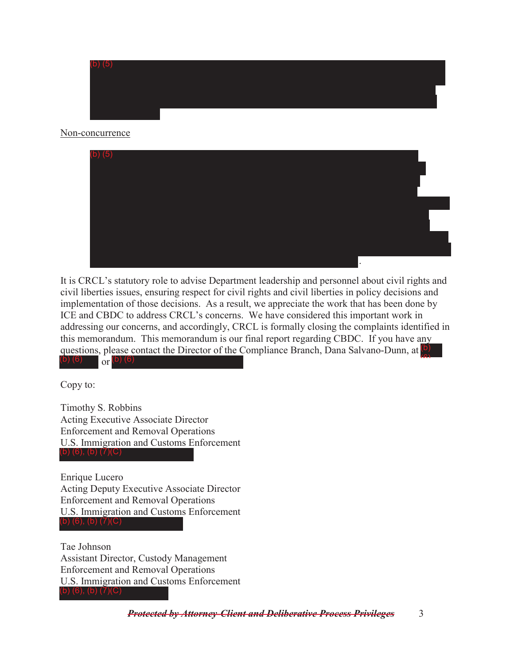

## Non-concurrence



 addressing our concerns, and accordingly, CRCL is formally closing the complaints identified in dressing our concerns, and accordingly, CRCL<br>is memorandum. This memorandum is our fina<br>estions, please contact the Director of the Comp<br>(6) or (b) (6) It is CRCL's statutory role to advise Department leadership and personnel about civil rights and civil liberties issues, ensuring respect for civil rights and civil liberties in policy decisions and implementation of those decisions. As a result, we appreciate the work that has been done by ICE and CBDC to address CRCL's concerns. We have considered this important work in this memorandum. This memorandum is our final report regarding CBDC. If you have any questions, please contact the Director of the Compliance Branch, Dana Salvano-Dunn, at **(b)** (b) (6)  $\frac{1}{2}$  (c) (6)  $\frac{1}{2}$  (b) (6)

Copy to:

 Timothy S. Robbins Acting Executive Associate Director Enforcement and Removal Operations U.S. Immigration and Customs Enforcement

 Acting Deputy Executive Associate Director eting<br>1force<br>S. Im<br>(6), ( Enrique Lucero Enforcement and Removal Operations U.S. Immigration and Customs Enforcement (b) (6), (b) (7)(C)

 (b) (6), (b) (7)(C) Tae Johnson Assistant Director, Custody Management Enforcement and Removal Operations U.S. Immigration and Customs Enforcement